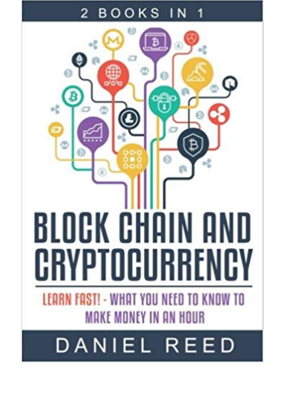## BOOKS 2

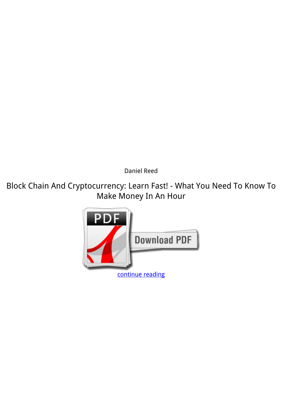*Daniel Reed*

**Block Chain And Cryptocurrency: Learn Fast! - What You Need To Know To Make Money In An Hour**

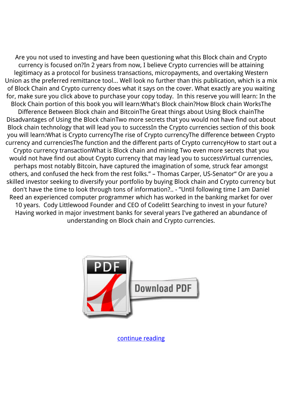Are you not used to investing and have been questioning what this Block chain and Crypto currency is focused on?In 2 years from now, I believe Crypto currencies will be attaining legitimacy as a protocol for business transactions, micropayments, and overtaking Western Union as the preferred remittance tool… Well look no further than this publication, which is a mix of Block Chain and Crypto currency does what it says on the cover. What exactly are you waiting for, make sure you click above to purchase your copy today. In this reserve you will learn: In the Block Chain portion of this book you will learn:What's Block chain?How Block chain WorksThe Difference Between Block chain and BitcoinThe Great things about Using Block chainThe Disadvantages of Using the Block chainTwo more secrets that you would not have find out about Block chain technology that will lead you to successIn the Crypto currencies section of this book you will learn:What is Crypto currencyThe rise of Crypto currencyThe difference between Crypto currency and currenciesThe function and the different parts of Crypto currencyHow to start out a Crypto currency transactionWhat is Block chain and mining Two even more secrets that you would not have find out about Crypto currency that may lead you to successVirtual currencies, perhaps most notably Bitcoin, have captured the imagination of some, struck fear amongst others, and confused the heck from the rest folks." – Thomas Carper, US-Senator" Or are you a skilled investor seeking to diversify your portfolio by buying Block chain and Crypto currency but don't have the time to look through tons of information?.. - "Until following time I am Daniel Reed an experienced computer programmer which has worked in the banking market for over 10 years. Cody Littlewood Founder and CEO of Codelitt Searching to invest in your future? Having worked in major investment banks for several years I've gathered an abundance of understanding on Block chain and Crypto currencies.



[continue reading](http://bit.ly/2Tge8Fv)